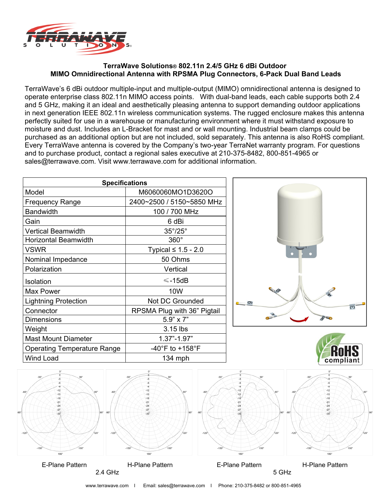

#### **TerraWave Solutions® 802.11n 2.4/5 GHz 6 dBi Outdoor MIMO Omnidirectional Antenna with RPSMA Plug Connectors, 6-Pack Dual Band Leads**

TerraWave's 6 dBi outdoor multiple-input and multiple-output (MIMO) omnidirectional antenna is designed to operate enterprise class 802.11n MIMO access points. With dual-band leads, each cable supports both 2.4 and 5 GHz, making it an ideal and aesthetically pleasing antenna to support demanding outdoor applications in next generation IEEE 802.11n wireless communication systems. The rugged enclosure makes this antenna perfectly suited for use in a warehouse or manufacturing environment where it must withstand exposure to moisture and dust. Includes an L-Bracket for mast and or wall mounting. Industrial beam clamps could be purchased as an additional option but are not included, sold separately. This antenna is also RoHS compliant. Every TerraWave antenna is covered by the Company's two-year TerraNet warranty program. For questions and to purchase product, contact a regional sales executive at 210-375-8482, 800-851-4965 or sales@terrawave.com. Visit www.terrawave.com for additional information.

| <b>Specifications</b>              |                                     |
|------------------------------------|-------------------------------------|
| Model                              | M6060060MO1D3620O                   |
| <b>Frequency Range</b>             | 2400~2500 / 5150~5850 MHz           |
| <b>Bandwidth</b>                   | 100 / 700 MHz                       |
| Gain                               | 6 dBi                               |
| <b>Vertical Beamwidth</b>          | $35^{\circ}/25^{\circ}$             |
| <b>Horizontal Beamwidth</b>        | $360^\circ$                         |
| <b>VSWR</b>                        | Typical $\leq 1.5$ - 2.0            |
| Nominal Impedance                  | 50 Ohms                             |
| Polarization                       | Vertical                            |
| Isolation                          | $≤$ -15dB                           |
| Max Power                          | 10W                                 |
| <b>Lightning Protection</b>        | Not DC Grounded                     |
| Connector                          | RPSMA Plug with 36" Pigtail         |
| Dimensions                         | $5.9" \times 7"$                    |
| Weight                             | 3.15 lbs                            |
| <b>Mast Mount Diameter</b>         | $1.37" - 1.97"$                     |
| <b>Operating Temperature Range</b> | -40 $\degree$ F to +158 $\degree$ F |
| <b>Wind Load</b>                   | $134$ mph                           |





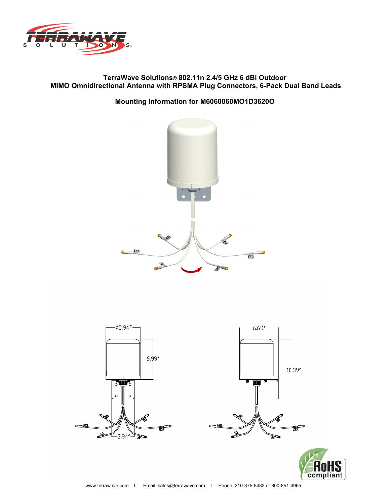

## **TerraWave Solutions® 802.11n 2.4/5 GHz 6 dBi Outdoor MIMO Omnidirectional Antenna with RPSMA Plug Connectors, 6-Pack Dual Band Leads**

## **Mounting Information for M6060060MO1D3620O**